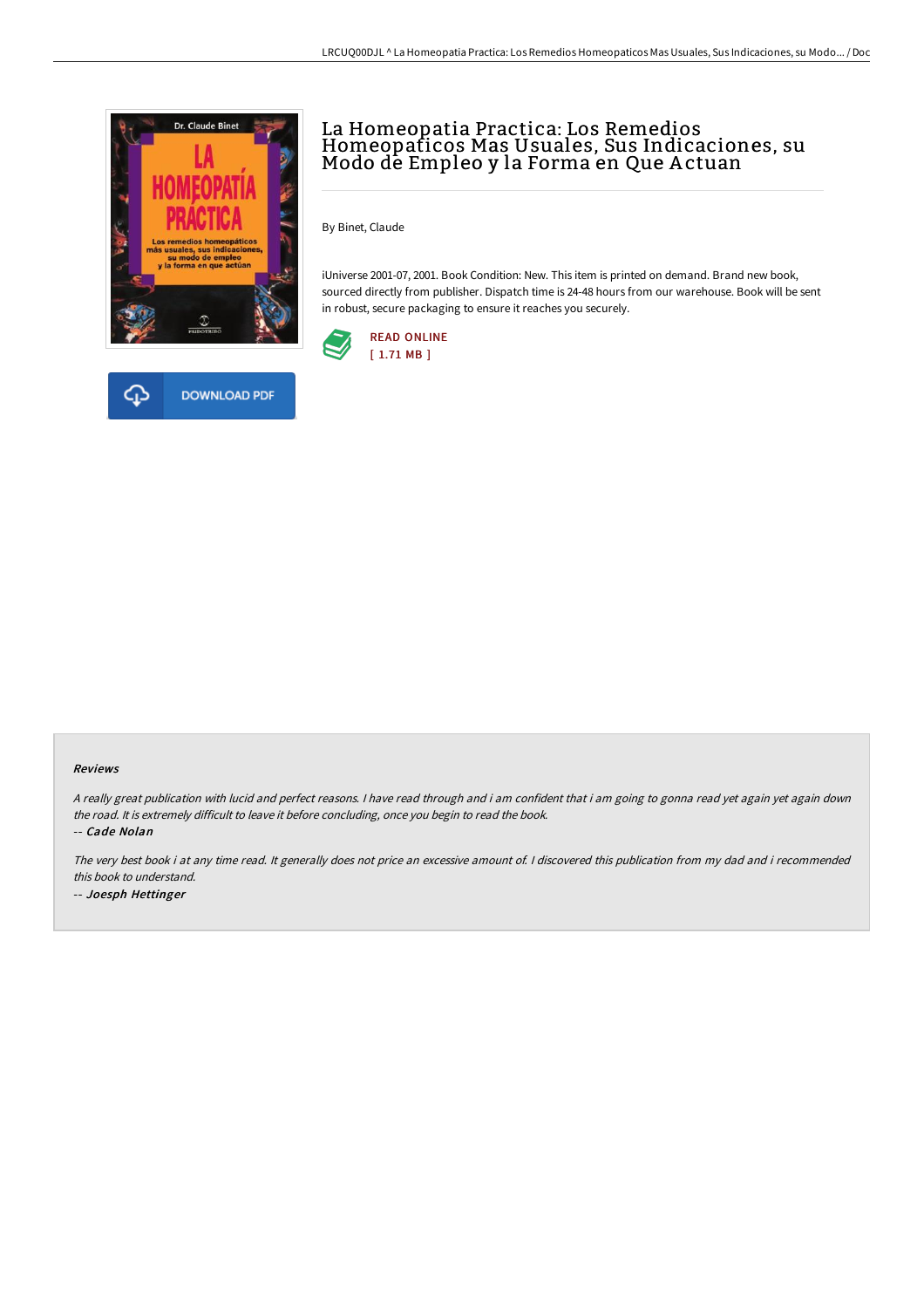



# La Homeopatia Practica: Los Remedios Homeopaticos Mas Usuales, Sus Indicaciones, su Modo de Empleo y la Forma en Que A ctuan

By Binet, Claude

iUniverse 2001-07, 2001. Book Condition: New. This item is printed on demand. Brand new book, sourced directly from publisher. Dispatch time is 24-48 hours from our warehouse. Book will be sent in robust, secure packaging to ensure it reaches you securely.



#### Reviews

<sup>A</sup> really great publication with lucid and perfect reasons. <sup>I</sup> have read through and i am confident that i am going to gonna read yet again yet again down the road. It is extremely difficult to leave it before concluding, once you begin to read the book.

-- Cade Nolan

The very best book i at any time read. It generally does not price an excessive amount of. <sup>I</sup> discovered this publication from my dad and i recommended this book to understand. -- Joesph Hettinger